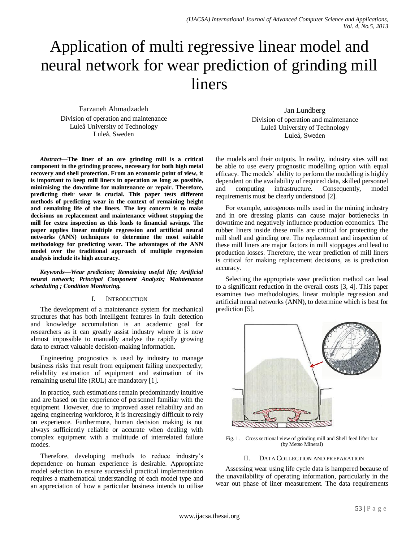# Application of multi regressive linear model and neural network for wear prediction of grinding mill liners

Farzaneh Ahmadzadeh Division of operation and maintenance Luleå University of Technology Luleå, Sweden

*Abstract***—The liner of an ore grinding mill is a critical component in the grinding process, necessary for both high metal recovery and shell protection. From an economic point of view, it is important to keep mill liners in operation as long as possible, minimising the downtime for maintenance or repair. Therefore, predicting their wear is crucial. This paper tests different methods of predicting wear in the context of remaining height and remaining life of the liners. The key concern is to make decisions on replacement and maintenance without stopping the mill for extra inspection as this leads to financial savings. The paper applies linear multiple regression and artificial neural networks (ANN) techniques to determine the most suitable methodology for predicting wear. The advantages of the ANN model over the traditional approach of multiple regression analysis include its high accuracy.**

*Keywords—Wear prediction; Remaining useful life; Artificial neural network; Principal Component Analysis; Maintenance scheduling ; Condition Monitoring.*

## I. INTRODUCTION

The development of a maintenance system for mechanical structures that has both intelligent features in fault detection and knowledge accumulation is an academic goal for researchers as it can greatly assist industry where it is now almost impossible to manually analyse the rapidly growing data to extract valuable decision-making information.

Engineering prognostics is used by industry to manage business risks that result from equipment failing unexpectedly; reliability estimation of equipment and estimation of its remaining useful life (RUL) are mandatory [1].

In practice, such estimations remain predominantly intuitive and are based on the experience of personnel familiar with the equipment. However, due to improved asset reliability and an ageing engineering workforce, it is increasingly difficult to rely on experience. Furthermore, human decision making is not always sufficiently reliable or accurate when dealing with complex equipment with a multitude of interrelated failure modes.

Therefore, developing methods to reduce industry's dependence on human experience is desirable. Appropriate model selection to ensure successful practical implementation requires a mathematical understanding of each model type and an appreciation of how a particular business intends to utilise

Jan Lundberg Division of operation and maintenance Luleå University of Technology Luleå, Sweden

the models and their outputs. In reality, industry sites will not be able to use every prognostic modelling option with equal efficacy. The models' ability to perform the modelling is highly dependent on the availability of required data, skilled personnel and computing infrastructure. Consequently, model requirements must be clearly understood [2].

For example, autogenous mills used in the mining industry and in ore dressing plants can cause major bottlenecks in downtime and negatively influence production economics. The rubber liners inside these mills are critical for protecting the mill shell and grinding ore. The replacement and inspection of these mill liners are major factors in mill stoppages and lead to production losses. Therefore, the wear prediction of mill liners is critical for making replacement decisions, as is prediction accuracy.

Selecting the appropriate wear prediction method can lead to a significant reduction in the overall costs [3, 4]. This paper examines two methodologies, linear multiple regression and artificial neural networks (ANN), to determine which is best for prediction [5].



Fig. 1. Cross sectional view of grinding mill and Shell feed lifter bar (by Metso Mineral)

## II. DATA COLLECTION AND PREPARATION

Assessing wear using life cycle data is hampered because of the unavailability of operating information, particularly in the wear out phase of liner measurement. The data requirements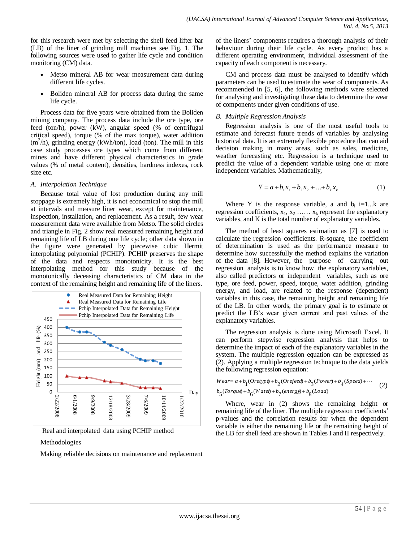for this research were met by selecting the shell feed lifter bar (LB) of the liner of grinding mill machines see Fig. 1. The following sources were used to gather life cycle and condition monitoring (CM) data.

- Metso mineral AB for wear measurement data during different life cycles.
- Boliden mineral AB for process data during the same life cycle.

Process data for five years were obtained from the Boliden mining company. The process data include the ore type, ore feed (ton/h), power (kW), angular speed (% of centrifugal critical speed), torque (% of the max torque), water addition (m<sup>3</sup>/h), grinding energy (kWh/ton), load (ton). The mill in this case study processes ore types which come from different mines and have different physical characteristics in grade values (% of metal content), densities, hardness indexes, rock size etc.

# *A. Interpolation Technique*

Because total value of lost production during any mill stoppage is extremely high, it is not economical to stop the mill at intervals and measure liner wear, except for maintenance, inspection, installation, and replacement. As a result, few wear measurement data were available from Metso. The solid circles and triangle in Fig. 2 show real measured remaining height and remaining life of LB during one life cycle; other data shown in the figure were generated by piecewise cubic Hermit interpolating polynomial (PCHIP). PCHIP preserves the shape of the data and respects monotonicity. It is the best interpolating method for this study because of the monotonically deceasing characteristics of CM data in the context of the remaining height and remaining life of the liners.



Real and interpolated data using PCHIP method

# Methodologies

Making reliable decisions on maintenance and replacement

of the liners' components requires a thorough analysis of their behaviour during their life cycle. As every product has a different operating environment, individual assessment of the capacity of each component is necessary.

CM and process data must be analysed to identify which parameters can be used to estimate the wear of components. As recommended in [5, 6], the following methods were selected for analysing and investigating these data to determine the wear of components under given conditions of use.

# *B. Multiple Regression Analysis*

Regression analysis is one of the most useful tools to estimate and forecast future trends of variables by analysing historical data. It is an extremely flexible procedure that can aid decision making in many areas, such as sales, medicine, weather forecasting etc. Regression is a technique used to predict the value of a dependent variable using one or more independent variables. Mathematically,

$$
Y = a + b_1 x_1 + b_2 x_2 + \dots + b_k x_k \tag{1}
$$

Where Y is the response variable, a and  $b_i$  i=1...k are regression coefficients,  $x_1, x_2, \ldots, x_k$  represent the explanatory variables, and K is the total number of explanatory variables.

The method of least squares estimation as [7] is used to calculate the regression coefficients. R-square, the coefficient of determination is used as the performance measure to determine how successfully the method explains the variation of the data [8]. However, the purpose of carrying out regression analysis is to know how the explanatory variables, also called predictors or independent variables, such as ore type, ore feed, power, speed, torque, water addition, grinding energy, and load, are related to the response (dependent) variables in this case, the remaining height and remaining life of the LB. In other words, the primary goal is to estimate or predict the LB's wear given current and past values of the explanatory variables.

The regression analysis is done using Microsoft Excel. It can perform stepwise regression analysis that helps to determine the impact of each of the explanatory variables in the system. The multiple regression equation can be expressed as (2). Applying a multiple regression technique to the data yields

the following regression equation:  
\n
$$
Wear = a + b_1 (Oretyp\partial_1 + b_2 (Orefeed) + b_3 (Power) + b_4 (Speed) + \cdots
$$
\n
$$
b_5 (Torqu\partial_1 + b_6 (Water) + b_7 (energy) + b_8 (Load)
$$
\n(2)

Where, wear in (2) shows the remaining height or remaining life of the liner. The multiple regression coefficients' p-values and the correlation results for when the dependent variable is either the remaining life or the remaining height of the LB for shell feed are shown in Tables I and II respectively.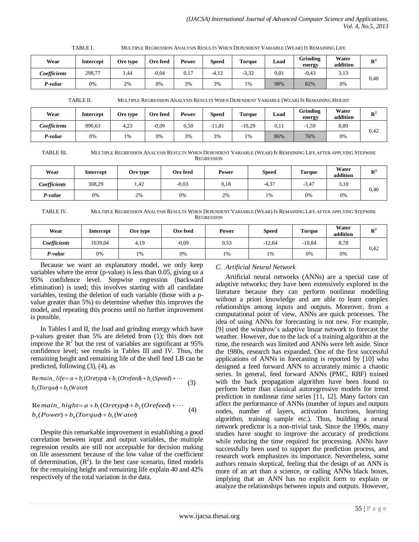| TABLE I. | MULTIPLE REGRESSION ANALYSIS RESULTS WHEN DEPENDENT VARIABLE (WEAR) IS REMAINING LIFE |
|----------|---------------------------------------------------------------------------------------|
|          |                                                                                       |

| Wear         | <b>Intercept</b> | Ore type | Ore feed | Power   | <b>Speed</b>                | <b>Torque</b> | Load | <b>Grinding</b><br>energy | Water<br>addition | $\mathbf{R}^2$ |
|--------------|------------------|----------|----------|---------|-----------------------------|---------------|------|---------------------------|-------------------|----------------|
| Coefficients | 298,77           | 1.44     | $-0.04$  | $U.1$ . | $1^{\circ}$<br>$-4.1\angle$ | $-3.32$       | 0,01 | $-0.43$                   | 3.13              | 0,40           |
| P-value      | 0%               | 2%       | 0%       | 3%      | 3%                          | 1%            | 98%  | 82%                       | 0%                |                |

TABLE II. MULTIPLE REGRESSION ANALYSIS RESULTS WHEN DEPENDENT VARIABLE (WEAR) IS REMAINING HEIGHT

| Wear         | Intercept | Ore type | Ore feed | Power | <b>Speed</b> | <b>Torque</b> | Load | Grinding<br>energy | Water<br>addition | $\mathbf{R}^2$ |
|--------------|-----------|----------|----------|-------|--------------|---------------|------|--------------------|-------------------|----------------|
| Coefficients | 990,63    | 4,23     | $-0.09$  | 0.50  | $-11.81$     | $-10,29$      | 0,11 | 1,59<br>-          | 8,89              |                |
| $P-value$    | 0%        | 1%       | 0%       | 3%    | 3%           | 1%            | 86%  | 76%                | 0%                | 0.42           |

TABLE III. MULTIPLE REGRESSION ANALYSIS RESULTS WHEN DEPENDENT VARIABLE (WEAR) IS REMAINING LIFE AFTER APPLYING STEPWISE **REGRESSION** 

| Wear         | Intercept | <b>Ore type</b> | Ore feed | Power | Speed   | <b>Torque</b> | Water<br>addition | D <sup>2</sup><br>л |
|--------------|-----------|-----------------|----------|-------|---------|---------------|-------------------|---------------------|
| Coefficients | 308,29    | .,42            | $-0.03$  | 0,18  | $-4.37$ | $-3,47$       | 3,10              |                     |
| P-value      | 0%        | 2%              | 0%       | 2%    | 1%      | 0%            | 0%                | 0,40                |

TABLE IV. MULTIPLE REGRESSION ANALYSIS RESULTS WHEN DEPENDENT VARIABLE (WEAR) IS REMAINING LIFE AFTER APPLYING STEPWISE **REGRESSION** 

| Wear         | Intercept | Ore type | Ore feed | Power | <b>Speed</b> | <b>Torque</b> | Water<br>addition | ${\bf D}^2$<br>v |
|--------------|-----------|----------|----------|-------|--------------|---------------|-------------------|------------------|
| Coefficients | 1039,04   | 4,19     | $-0.09$  | 0.53  | $-12.84$     | $-10.84$      | 8,78              | 0.42             |
| P-value      | 0%        | 1%       | 0%       | 1%    | 1%           | 0%            | 0%                |                  |

Because we want an explanatory model, we only keep variables where the error (p-value) is less than 0.05, giving us a 95% confidence level. Stepwise regression (backward elimination) is used; this involves starting with all candidate variables, testing the deletion of each variable (those with a pvalue greater than 5%) to determine whether this improves the model, and repeating this process until no further improvement is possible.

In Tables I and II, the load and grinding energy which have p-values greater than 5% are deleted from (1); this does not improve the  $\mathbb{R}^2$  but the rest of variables are significant at 95% confidence level; see results in Tables III and IV. Thus, the remaining height and remaining life of the shell feed LB can be predicted, following (3), (4), as

$$
\text{Remain\_life} = a + b_1 (Oretyp\theta + b_2 (Orefeed) + b_3 (Speed) + \cdots
$$
\n
$$
b_4 (Torqu\theta + b_5 (Wate\theta) \tag{3}
$$

Remain\_hight = 
$$
a + b_1
$$
 (Oretyp $\theta$  +  $b_2$  (Orefeed) + ...  
 $b_3$  (Power) +  $b_4$  (Torqu $\theta$  +  $b_5$  (Water) (4)

Despite this remarkable improvement in establishing a good correlation between input and output variables, the multiple regression results are still not acceptable for decision making on life assessment because of the low value of the coefficient of determination,  $(R^2)$ . In the best case scenario, fitted models for the remaining height and remaining life explain 40 and 42% respectively of the total variation in the data.

# *C. Artificial Neural Network*

Artificial neural networks (ANNs) are a special case of adaptive networks; they have been extensively explored in the literature because they can perform nonlinear modelling without a priori knowledge and are able to learn complex relationships among inputs and outputs. Moreover, from a computational point of view, ANNs are quick processes. The idea of using ANNs for forecasting is not new. For example, [9] used the windrow's adaptive linear network to forecast the weather. However, due to the lack of a training algorithm at the time, the research was limited and ANNs were left aside. Since the 1980s, research has expanded. One of the first successful applications of ANNs in forecasting is reported by [10] who designed a feed forward ANN to accurately mimic a chaotic series. In general, feed forward ANNs (PMC, RBF) trained with the back propagation algorithm have been found to perform better than classical autoregressive models for trend prediction in nonlinear time series [11, 12]. Many factors can affect the performance of ANNs (number of inputs and outputs nodes, number of layers, activation functions, learning algorithm, training sample etc.). Thus, building a neural network predictor is a non-trivial task. Since the 1990s, many studies have sought to improve the accuracy of predictions while reducing the time required for processing. ANNs have successfully been used to support the prediction process, and research work emphasizes its importance. Nevertheless, some authors remain skeptical, feeling that the design of an ANN is more of an art than a science, or calling ANNs black boxes, implying that an ANN has no explicit form to explain or analyze the relationships between inputs and outputs. However,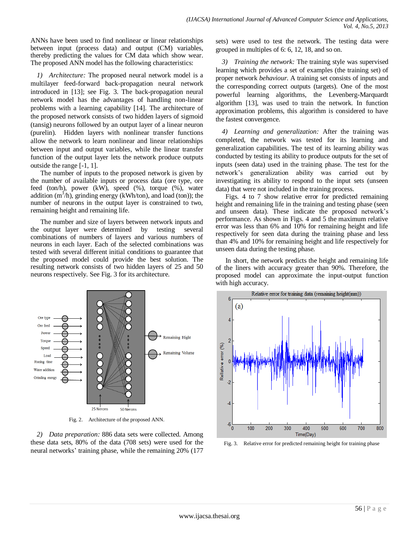ANNs have been used to find nonlinear or linear relationships between input (process data) and output (CM) variables, thereby predicting the values for CM data which show wear. The proposed ANN model has the following characteristics:

*1) Architecture:* The proposed neural network model is a multilayer feed-forward back-propagation neural network introduced in [13]; see Fig. 3. The back-propagation neural network model has the advantages of handling non-linear problems with a learning capability [14]. The architecture of the proposed network consists of two hidden layers of sigmoid (tansig) neurons followed by an output layer of a linear neuron (purelin). Hidden layers with nonlinear transfer functions allow the network to learn nonlinear and linear relationships between input and output variables, while the linear transfer function of the output layer lets the network produce outputs outside the range [-1, 1].

The number of inputs to the proposed network is given by the number of available inputs or process data (ore type, ore feed (ton/h), power (kW), speed (%), torque (%), water addition  $(m^3/h)$ , grinding energy (kWh/ton), and load (ton)); the number of neurons in the output layer is constrained to two, remaining height and remaining life.

The number and size of layers between network inputs and the output layer were determined by testing several combinations of numbers of layers and various numbers of neurons in each layer. Each of the selected combinations was tested with several different initial conditions to guarantee that the proposed model could provide the best solution. The resulting network consists of two hidden layers of 25 and 50 neurons respectively. See Fig. 3 for its architecture.



Fig. 2. Architecture of the proposed ANN.

*2) Data preparation:* 886 data sets were collected. Among these data sets, 80% of the data (708 sets) were used for the neural networks' training phase, while the remaining 20% (177 sets) were used to test the network. The testing data were grouped in multiples of 6: 6, 12, 18, and so on.

*3) Training the network:* The training style was supervised learning which provides a set of examples (the training set) of proper network *behaviour*. A training set consists of inputs and the corresponding correct outputs (targets). One of the most powerful learning algorithms, the Levenberg-Marquardt algorithm [13], was used to train the network. In function approximation problems, this algorithm is considered to have the fastest convergence.

*4) Learning and generalization:* After the training was completed, the network was tested for its learning and generalization capabilities. The test of its learning ability was conducted by testing its ability to produce outputs for the set of inputs (seen data) used in the training phase. The test for the network's generalization ability was carried out by investigating its ability to respond to the input sets (unseen data) that were not included in the training process.

Figs. 4 to 7 show relative error for predicted remaining height and remaining life in the training and testing phase (seen and unseen data). These indicate the proposed network's performance. As shown in Figs. 4 and 5 the maximum relative error was less than 6% and 10% for remaining height and life respectively for seen data during the training phase and less than 4% and 10% for remaining height and life respectively for unseen data during the testing phase.

In short, the network predicts the height and remaining life of the liners with accuracy greater than 90%. Therefore, the proposed model can approximate the input-output function with high accuracy.



Fig. 3. Relative error for predicted remaining height for training phase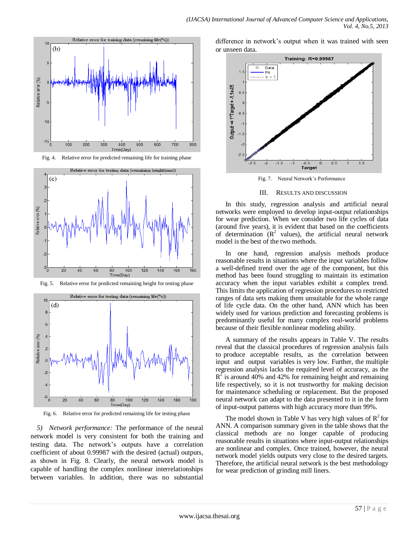



Fig. 4. Relative error for predicted remaining life for training phase



Fig. 5. Relative error for predicted remaining height for testing phase



Fig. 6. Relative error for predicted remaining life for testing phase

*5) Network performance:* The performance of the neural network model is very consistent for both the training and testing data. The network's outputs have a correlation coefficient of about 0.99987 with the desired (actual) outputs, as shown in Fig. 8. Clearly, the neural network model is capable of handling the complex nonlinear interrelationships between variables. In addition, there was no substantial difference in network's output when it was trained with seen or unseen data.



Fig. 7. Neural Network's Performance

#### III. RESULTS AND DISCUSSION

In this study, regression analysis and artificial neural networks were employed to develop input-output relationships for wear prediction. When we consider two life cycles of data (around five years), it is evident that based on the coefficients of determination  $(R^2$  values), the artificial neural network model is the best of the two methods.

In one hand, regression analysis methods produce reasonable results in situations where the input variables follow a well-defined trend over the age of the component, but this method has been found struggling to maintain its estimation accuracy when the input variables exhibit a complex trend. This limits the application of regression procedures to restricted ranges of data sets making them unsuitable for the whole range of life cycle data. On the other hand, ANN which has been widely used for various prediction and forecasting problems is predominantly useful for many complex real-world problems because of their flexible nonlinear modeling ability.

A summary of the results appears in Table V. The results reveal that the classical procedures of regression analysis fails to produce acceptable results, as the correlation between input and output variables is very low. Further, the multiple regression analysis lacks the required level of accuracy, as the  $R^2$  is around 40% and 42% for remaining height and remaining life respectively, so it is not trustworthy for making decision for maintenance scheduling or replacement. But the proposed neural network can adapt to the data presented to it in the form of input-output patterns with high accuracy more than 99%.

The model shown in Table V has very high values of  $R^2$  for ANN. A comparison summary given in the table shows that the classical methods are no longer capable of producing reasonable results in situations where input-output relationships are nonlinear and complex. Once trained, however, the neural network model yields outputs very close to the desired targets. Therefore, the artificial neural network is the best methodology for wear prediction of grinding mill liners.